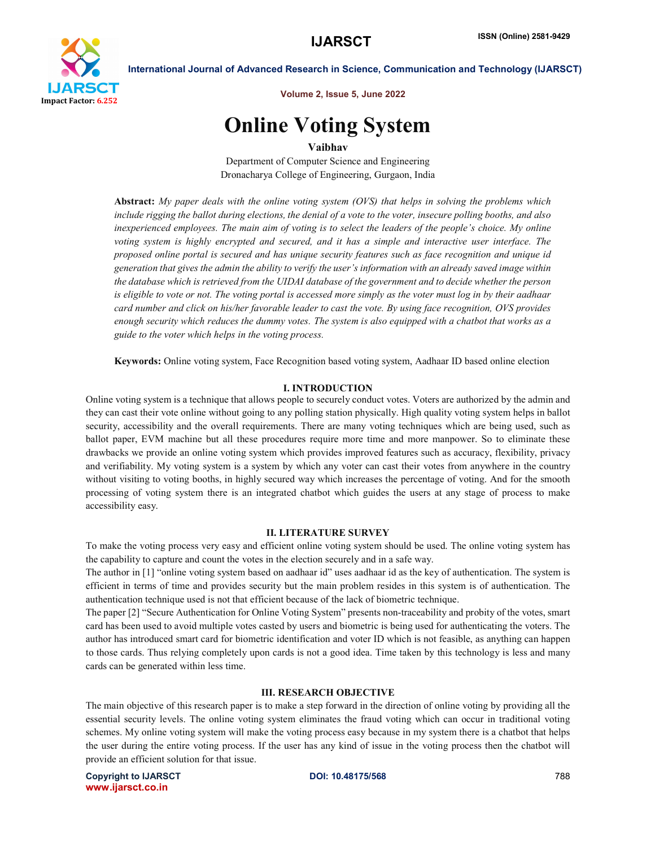

Volume 2, Issue 5, June 2022

# Online Voting System

Vaibhav

Department of Computer Science and Engineering Dronacharya College of Engineering, Gurgaon, India

Abstract: *My paper deals with the online voting system (OVS) that helps in solving the problems which include rigging the ballot during elections, the denial of a vote to the voter, insecure polling booths, and also inexperienced employees. The main aim of voting is to select the leaders of the people's choice. My online voting system is highly encrypted and secured, and it has a simple and interactive user interface. The proposed online portal is secured and has unique security features such as face recognition and unique id generation that gives the admin the ability to verify the user's information with an already saved image within the database which is retrieved from the UIDAI database of the government and to decide whether the person is eligible to vote or not. The voting portal is accessed more simply as the voter must log in by their aadhaar card number and click on his/her favorable leader to cast the vote. By using face recognition, OVS provides enough security which reduces the dummy votes. The system is also equipped with a chatbot that works as a guide to the voter which helps in the voting process.*

Keywords: Online voting system, Face Recognition based voting system, Aadhaar ID based online election

### I. INTRODUCTION

Online voting system is a technique that allows people to securely conduct votes. Voters are authorized by the admin and they can cast their vote online without going to any polling station physically. High quality voting system helps in ballot security, accessibility and the overall requirements. There are many voting techniques which are being used, such as ballot paper, EVM machine but all these procedures require more time and more manpower. So to eliminate these drawbacks we provide an online voting system which provides improved features such as accuracy, flexibility, privacy and verifiability. My voting system is a system by which any voter can cast their votes from anywhere in the country without visiting to voting booths, in highly secured way which increases the percentage of voting. And for the smooth processing of voting system there is an integrated chatbot which guides the users at any stage of process to make accessibility easy.

#### II. LITERATURE SURVEY

To make the voting process very easy and efficient online voting system should be used. The online voting system has the capability to capture and count the votes in the election securely and in a safe way.

The author in [1] "online voting system based on aadhaar id" uses aadhaar id as the key of authentication. The system is efficient in terms of time and provides security but the main problem resides in this system is of authentication. The authentication technique used is not that efficient because of the lack of biometric technique.

The paper [2] "Secure Authentication for Online Voting System" presents non-traceability and probity of the votes, smart card has been used to avoid multiple votes casted by users and biometric is being used for authenticating the voters. The author has introduced smart card for biometric identification and voter ID which is not feasible, as anything can happen to those cards. Thus relying completely upon cards is not a good idea. Time taken by this technology is less and many cards can be generated within less time.

### III. RESEARCH OBJECTIVE

The main objective of this research paper is to make a step forward in the direction of online voting by providing all the essential security levels. The online voting system eliminates the fraud voting which can occur in traditional voting schemes. My online voting system will make the voting process easy because in my system there is a chatbot that helps the user during the entire voting process. If the user has any kind of issue in the voting process then the chatbot will provide an efficient solution for that issue.

Copyright to IJARSCT **DOI: 10.48175/568** 788 www.ijarsct.co.in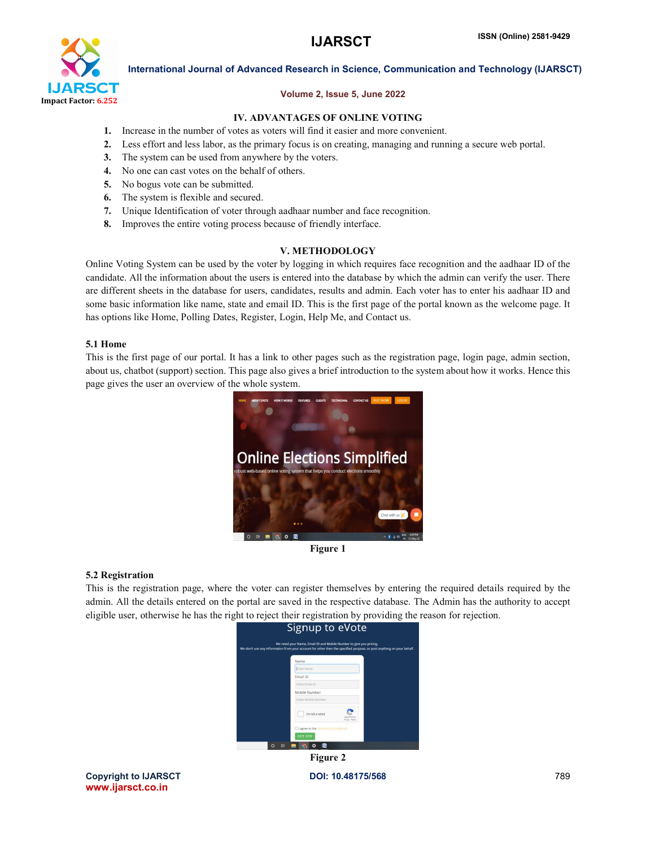

# Volume 2, Issue 5, June 2022

# IV. ADVANTAGES OF ONLINE VOTING

- 1. Increase in the number of votes as voters will find it easier and more convenient.
- 2. Less effort and less labor, as the primary focus is on creating, managing and running a secure web portal.
- 3. The system can be used from anywhere by the voters.
- 4. No one can cast votes on the behalf of others.
- 5. No bogus vote can be submitted.
- 6. The system is flexible and secured.
- 7. Unique Identification of voter through aadhaar number and face recognition.
- 8. Improves the entire voting process because of friendly interface.

# V. METHODOLOGY

Online Voting System can be used by the voter by logging in which requires face recognition and the aadhaar ID of the candidate. All the information about the users is entered into the database by which the admin can verify the user. There are different sheets in the database for users, candidates, results and admin. Each voter has to enter his aadhaar ID and some basic information like name, state and email ID. This is the first page of the portal known as the welcome page. It has options like Home, Polling Dates, Register, Login, Help Me, and Contact us.

### 5.1 Home

This is the first page of our portal. It has a link to other pages such as the registration page, login page, admin section, about us, chatbot (support) section. This page also gives a brief introduction to the system about how it works. Hence this page gives the user an overview of the whole system.



Figure 1

### 5.2 Registration

This is the registration page, where the voter can register themselves by entering the required details required by the admin. All the details entered on the portal are saved in the respective database. The Admin has the authority to accept eligible user, otherwise he has the right to reject their registration by providing the reason for rejection.



Copyright to IJARSCT **DOI: 10.48175/568** 789 www.ijarsct.co.in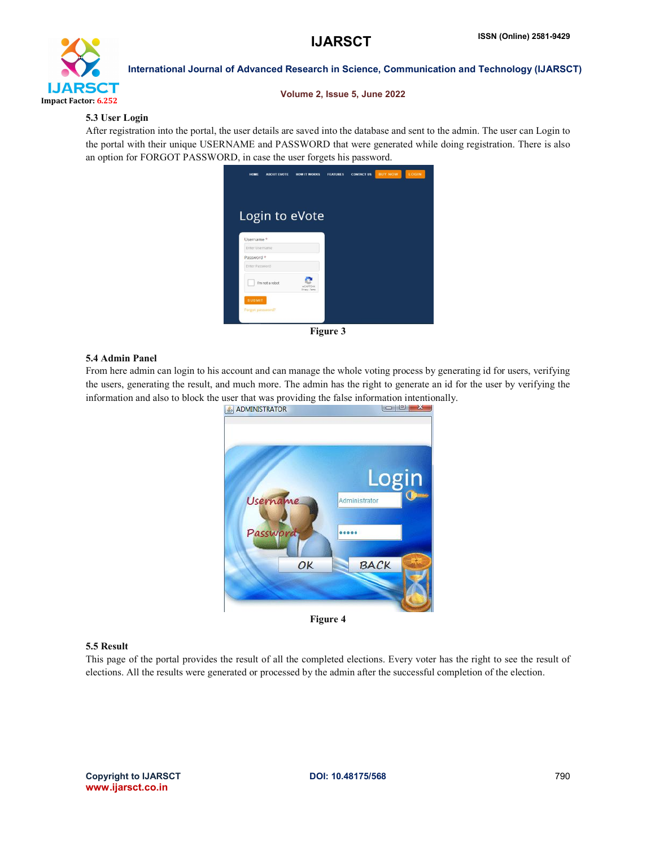

Volume 2, Issue 5, June 2022

# 5.3 User Login

After registration into the portal, the user details are saved into the database and sent to the admin. The user can Login to the portal with their unique USERNAME and PASSWORD that were generated while doing registration. There is also an option for FORGOT PASSWORD, in case the user forgets his password.



Figure 3

### 5.4 Admin Panel

From here admin can login to his account and can manage the whole voting process by generating id for users, verifying the users, generating the result, and much more. The admin has the right to generate an id for the user by verifying the information and also to block the user that was providing the false information intentionally.



Figure 4

### 5.5 Result

This page of the portal provides the result of all the completed elections. Every voter has the right to see the result of elections. All the results were generated or processed by the admin after the successful completion of the election.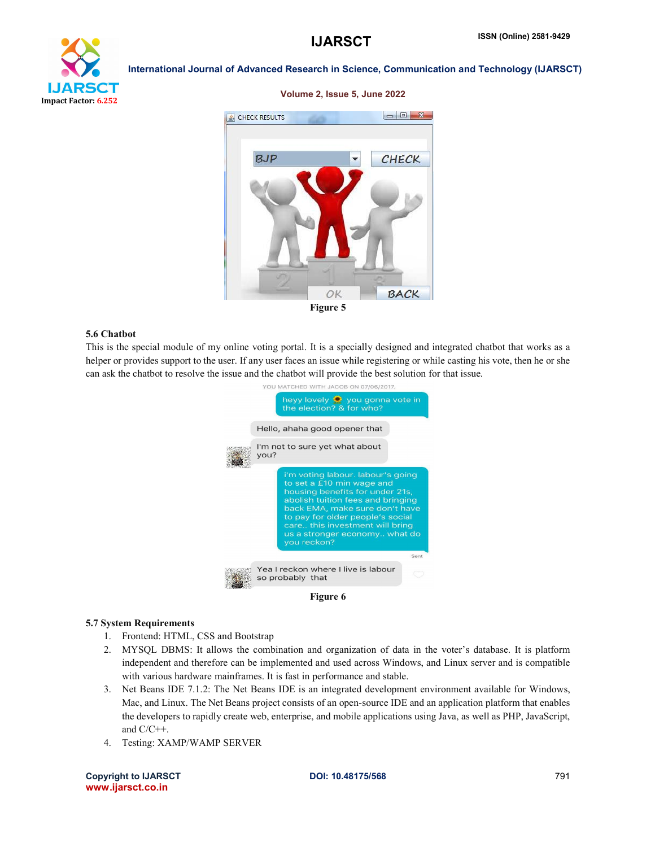

Volume 2, Issue 5, June 2022



### 5.6 Chatbot

This is the special module of my online voting portal. It is a specially designed and integrated chatbot that works as a helper or provides support to the user. If any user faces an issue while registering or while casting his vote, then he or she can ask the chatbot to resolve the issue and the chatbot will provide the best solution for that issue.



#### 5.7 System Requirements

- 1. Frontend: HTML, CSS and Bootstrap
- 2. MYSQL DBMS: It allows the combination and organization of data in the voter's database. It is platform independent and therefore can be implemented and used across Windows, and Linux server and is compatible with various hardware mainframes. It is fast in performance and stable.
- 3. Net Beans IDE 7.1.2: The Net Beans IDE is an integrated development environment available for Windows, Mac, and Linux. The Net Beans project consists of an open-source IDE and an application platform that enables the developers to rapidly create web, enterprise, and mobile applications using Java, as well as PHP, JavaScript, and C/C++.
- 4. Testing: XAMP/WAMP SERVER

Copyright to IJARSCT DOI: 10.48175/568 791 www.ijarsct.co.in